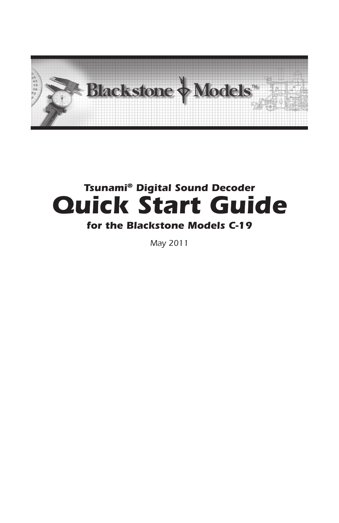

## *Tsunami® Digital Sound Decoder Quick Start Guide for the Blackstone Models C-19*

*May 2011*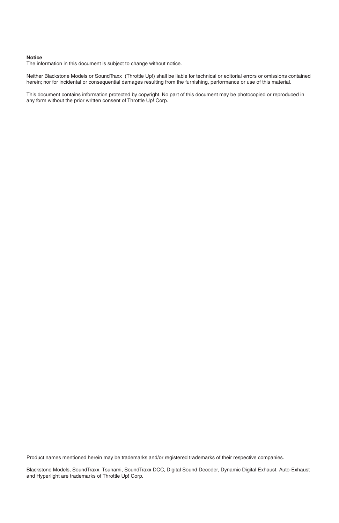#### **Notice**

The information in this document is subject to change without notice.

Neither Blackstone Models or SoundTraxx (Throttle Up!) shall be liable for technical or editorial errors or omissions contained herein; nor for incidental or consequential damages resulting from the furnishing, performance or use of this material.

This document contains information protected by copyright. No part of this document may be photocopied or reproduced in any form without the prior written consent of Throttle Up! Corp.

Product names mentioned herein may be trademarks and/or registered trademarks of their respective companies.

Blackstone Models, SoundTraxx, Tsunami, SoundTraxx DCC, Digital Sound Decoder, Dynamic Digital Exhaust, Auto-Exhaust and Hyperlight are trademarks of Throttle Up! Corp.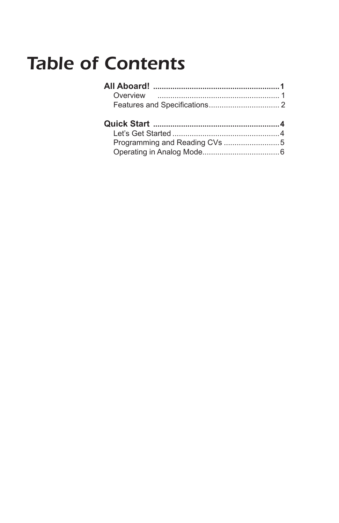## **Table of Contents**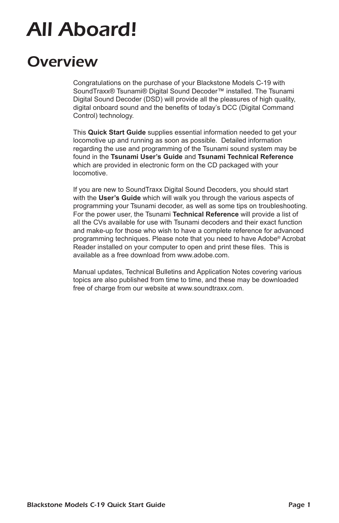# *All Aboard!*

## *Overview*

Congratulations on the purchase of your Blackstone Models C-19 with SoundTraxx® Tsunami® Digital Sound Decoder™ installed. The Tsunami Digital Sound Decoder (DSD) will provide all the pleasures of high quality, digital onboard sound and the benefits of today's DCC (Digital Command Control) technology.

This **Quick Start Guide** supplies essential information needed to get your locomotive up and running as soon as possible. Detailed information regarding the use and programming of the Tsunami sound system may be found in the **Tsunami User's Guide** and **Tsunami Technical Reference**  which are provided in electronic form on the CD packaged with your locomotive.

If you are new to SoundTraxx Digital Sound Decoders, you should start with the **User's Guide** which will walk you through the various aspects of programming your Tsunami decoder, as well as some tips on troubleshooting. For the power user, the Tsunami **Technical Reference** will provide a list of all the CVs available for use with Tsunami decoders and their exact function and make-up for those who wish to have a complete reference for advanced programming techniques. Please note that you need to have Adobe® Acrobat Reader installed on your computer to open and print these files. This is available as a free download from www.adobe.com.

Manual updates, Technical Bulletins and Application Notes covering various topics are also published from time to time, and these may be downloaded free of charge from our website at www.soundtraxx.com.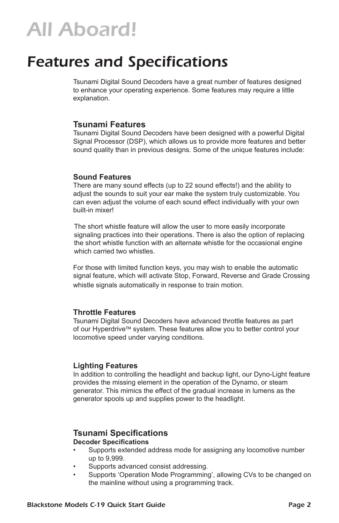## *All Aboard!*

## *Features and Specifications*

Tsunami Digital Sound Decoders have a great number of features designed to enhance your operating experience. Some features may require a little explanation.

#### **Tsunami Features**

Tsunami Digital Sound Decoders have been designed with a powerful Digital Signal Processor (DSP), which allows us to provide more features and better sound quality than in previous designs. Some of the unique features include:

#### **Sound Features**

There are many sound effects (up to 22 sound effects!) and the ability to adjust the sounds to suit your ear make the system truly customizable. You can even adjust the volume of each sound effect individually with your own built-in mixer!

The short whistle feature will allow the user to more easily incorporate signaling practices into their operations. There is also the option of replacing the short whistle function with an alternate whistle for the occasional engine which carried two whistles.

For those with limited function keys, you may wish to enable the automatic signal feature, which will activate Stop, Forward, Reverse and Grade Crossing whistle signals automatically in response to train motion.

#### **Throttle Features**

Tsunami Digital Sound Decoders have advanced throttle features as part of our Hyperdrive™ system. These features allow you to better control your locomotive speed under varying conditions.

#### **Lighting Features**

In addition to controlling the headlight and backup light, our Dyno-Light feature provides the missing element in the operation of the Dynamo, or steam generator. This mimics the effect of the gradual increase in lumens as the generator spools up and supplies power to the headlight.

### **Tsunami Specifications**

#### **Decoder Specifications**

- Supports extended address mode for assigning any locomotive number up to 9,999.
- Supports advanced consist addressing.
- Supports 'Operation Mode Programming', allowing CVs to be changed on the mainline without using a programming track.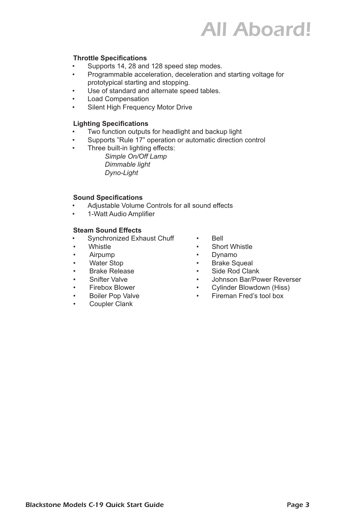## *All Aboard!*

#### **Throttle Specifications**

- Supports 14, 28 and 128 speed step modes.
- Programmable acceleration, deceleration and starting voltage for prototypical starting and stopping.
- Use of standard and alternate speed tables.
- Load Compensation
- Silent High Frequency Motor Drive

#### **Lighting Specifications**

- Two function outputs for headlight and backup light
- Supports "Rule 17" operation or automatic direction control
- Three built-in lighting effects:

*Simple On/Off Lamp Dimmable light Dyno-Light*

#### **Sound Specifications**

- Adjustable Volume Controls for all sound effects
- 1-Watt Audio Amplifier

#### **Steam Sound Effects**

- Synchronized Exhaust Chuff Bell
- 
- Airpump Dynamo
- 
- Brake Release Side Rod Clank
- 
- 
- 
- Coupler Clank
- 
- Whistle **•** Short Whistle
	-
- Water Stop **•** Brake Squeal
	-
- Snifter Valve  **Johnson Bar/Power Reverser** 
	-
- Firebox Blower Cylinder Blowdown (Hiss) • Boiler Pop Valve • Fireman Fred's tool box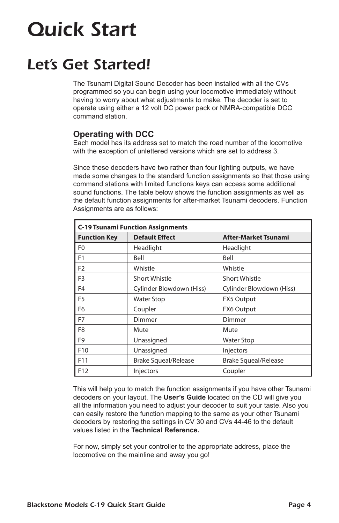## *Let's Get Started!*

The Tsunami Digital Sound Decoder has been installed with all the CVs programmed so you can begin using your locomotive immediately without having to worry about what adjustments to make. The decoder is set to operate using either a 12 volt DC power pack or NMRA-compatible DCC command station.

### **Operating with DCC**

Each model has its address set to match the road number of the locomotive with the exception of unlettered versions which are set to address 3.

Since these decoders have two rather than four lighting outputs, we have made some changes to the standard function assignments so that those using command stations with limited functions keys can access some additional sound functions. The table below shows the function assignments as well as the default function assignments for after-market Tsunami decoders. Function Assignments are as follows:

| <b>C-19 Tsunami Function Assignments</b> |                             |                             |  |
|------------------------------------------|-----------------------------|-----------------------------|--|
| <b>Function Key</b>                      | <b>Default Effect</b>       | <b>After-Market Tsunami</b> |  |
| F <sub>0</sub>                           | Headlight                   | Headlight                   |  |
| F <sub>1</sub>                           | Bell                        | Bell                        |  |
| F <sub>2</sub>                           | Whistle                     | Whistle                     |  |
| F <sub>3</sub>                           | <b>Short Whistle</b>        | <b>Short Whistle</b>        |  |
| F <sub>4</sub>                           | Cylinder Blowdown (Hiss)    | Cylinder Blowdown (Hiss)    |  |
| F <sub>5</sub>                           | <b>Water Stop</b>           | <b>FX5 Output</b>           |  |
| F <sub>6</sub>                           | Coupler                     | FX6 Output                  |  |
| F <sub>7</sub>                           | Dimmer                      | Dimmer                      |  |
| F <sub>8</sub>                           | Mute                        | Mute                        |  |
| F <sub>9</sub>                           | Unassigned                  | <b>Water Stop</b>           |  |
| F <sub>10</sub>                          | Unassigned                  | Injectors                   |  |
| F11                                      | <b>Brake Squeal/Release</b> | <b>Brake Squeal/Release</b> |  |
| F12                                      | Injectors                   | Coupler                     |  |

This will help you to match the function assignments if you have other Tsunami decoders on your layout. The **User's Guide** located on the CD will give you all the information you need to adjust your decoder to suit your taste. Also you can easily restore the function mapping to the same as your other Tsunami decoders by restoring the settings in CV 30 and CVs 44-46 to the default values listed in the **Technical Reference.**

For now, simply set your controller to the appropriate address, place the locomotive on the mainline and away you go!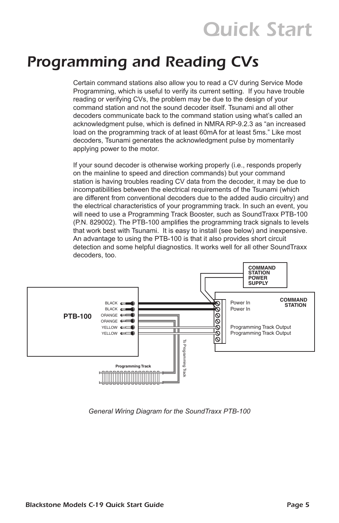## *Programming and Reading CVs*

Certain command stations also allow you to read a CV during Service Mode Programming, which is useful to verify its current setting. If you have trouble reading or verifying CVs, the problem may be due to the design of your command station and not the sound decoder itself. Tsunami and all other decoders communicate back to the command station using what's called an acknowledgment pulse, which is defined in NMRA RP-9.2.3 as "an increased load on the programming track of at least 60mA for at least 5ms." Like most decoders, Tsunami generates the acknowledgment pulse by momentarily applying power to the motor.

If your sound decoder is otherwise working properly (i.e., responds properly on the mainline to speed and direction commands) but your command station is having troubles reading CV data from the decoder, it may be due to incompatibilities between the electrical requirements of the Tsunami (which are different from conventional decoders due to the added audio circuitry) and the electrical characteristics of your programming track. In such an event, you will need to use a Programming Track Booster, such as SoundTraxx PTB-100 (P.N. 829002). The PTB-100 amplifies the programming track signals to levels that work best with Tsunami. It is easy to install (see below) and inexpensive. An advantage to using the PTB-100 is that it also provides short circuit detection and some helpful diagnostics. It works well for all other SoundTraxx decoders, too.



*General Wiring Diagram for the SoundTraxx PTB-100*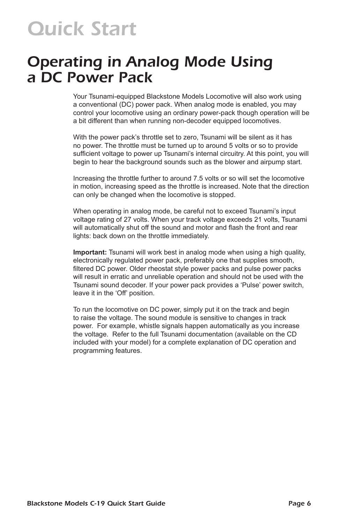### *Operating in Analog Mode Using a DC Power Pack*

Your Tsunami-equipped Blackstone Models Locomotive will also work using a conventional (DC) power pack. When analog mode is enabled, you may control your locomotive using an ordinary power-pack though operation will be a bit different than when running non-decoder equipped locomotives.

With the power pack's throttle set to zero, Tsunami will be silent as it has no power. The throttle must be turned up to around 5 volts or so to provide sufficient voltage to power up Tsunami's internal circuitry. At this point, you will begin to hear the background sounds such as the blower and airpump start.

Increasing the throttle further to around 7.5 volts or so will set the locomotive in motion, increasing speed as the throttle is increased. Note that the direction can only be changed when the locomotive is stopped.

When operating in analog mode, be careful not to exceed Tsunami's input voltage rating of 27 volts. When your track voltage exceeds 21 volts, Tsunami will automatically shut off the sound and motor and flash the front and rear lights: back down on the throttle immediately.

**Important:** Tsunami will work best in analog mode when using a high quality, electronically regulated power pack, preferably one that supplies smooth, filtered DC power. Older rheostat style power packs and pulse power packs will result in erratic and unreliable operation and should not be used with the Tsunami sound decoder. If your power pack provides a 'Pulse' power switch, leave it in the 'Off' position.

To run the locomotive on DC power, simply put it on the track and begin to raise the voltage. The sound module is sensitive to changes in track power. For example, whistle signals happen automatically as you increase the voltage. Refer to the full Tsunami documentation (available on the CD included with your model) for a complete explanation of DC operation and programming features.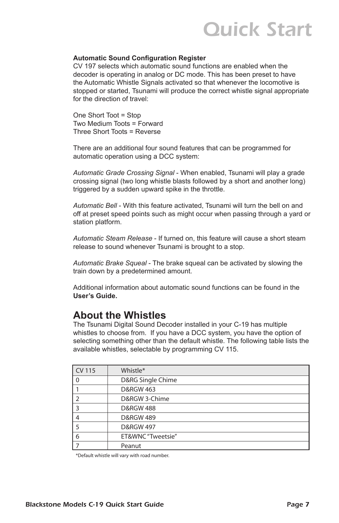#### **Automatic Sound Configuration Register**

CV 197 selects which automatic sound functions are enabled when the decoder is operating in analog or DC mode. This has been preset to have the Automatic Whistle Signals activated so that whenever the locomotive is stopped or started, Tsunami will produce the correct whistle signal appropriate for the direction of travel:

One Short Toot = Stop Two Medium Toots = Forward Three Short Toots = Reverse

There are an additional four sound features that can be programmed for automatic operation using a DCC system:

*Automatic Grade Crossing Signal* - When enabled, Tsunami will play a grade crossing signal (two long whistle blasts followed by a short and another long) triggered by a sudden upward spike in the throttle.

*Automatic Bell* - With this feature activated, Tsunami will turn the bell on and off at preset speed points such as might occur when passing through a yard or station platform.

*Automatic Steam Release* - If turned on, this feature will cause a short steam release to sound whenever Tsunami is brought to a stop.

*Automatic Brake Squeal* - The brake squeal can be activated by slowing the train down by a predetermined amount.

Additional information about automatic sound functions can be found in the **User's Guide.**

### **About the Whistles**

The Tsunami Digital Sound Decoder installed in your C-19 has multiple whistles to choose from. If you have a DCC system, you have the option of selecting something other than the default whistle. The following table lists the available whistles, selectable by programming CV 115.

| CV 115         | Whistle*             |
|----------------|----------------------|
| $\mathbf{0}$   | D&RG Single Chime    |
|                | <b>D&amp;RGW 463</b> |
| $\overline{2}$ | D&RGW 3-Chime        |
| 3              | <b>D&amp;RGW 488</b> |
| $\overline{4}$ | <b>D&amp;RGW 489</b> |
| 5              | <b>D&amp;RGW 497</b> |
| 6              | ET&WNC "Tweetsie"    |
|                | Peanut               |

\*Default whistle will vary with road number.